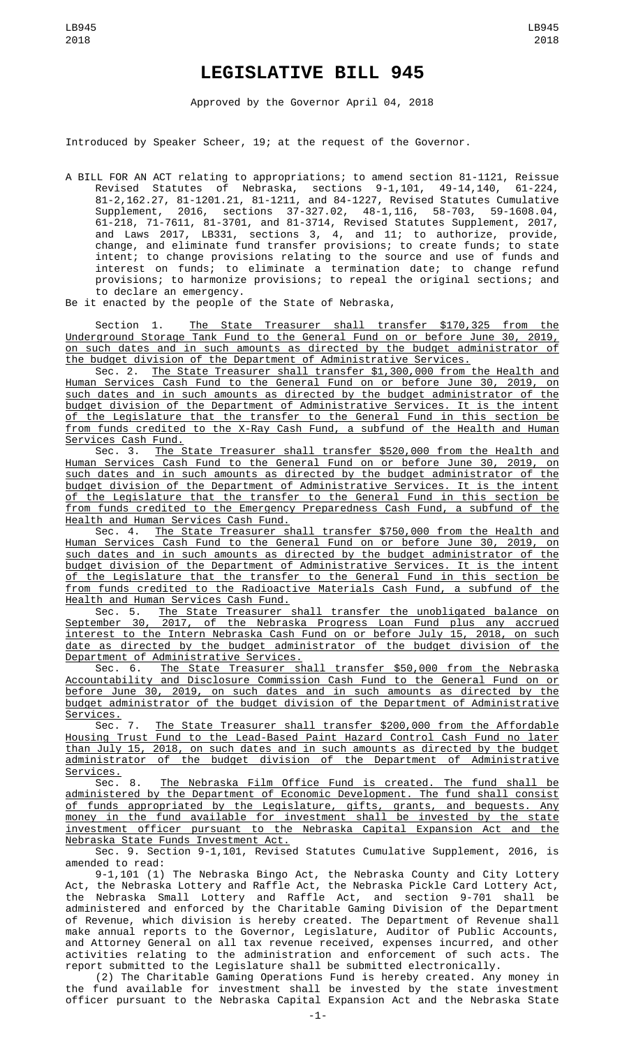## **LEGISLATIVE BILL 945**

Approved by the Governor April 04, 2018

Introduced by Speaker Scheer, 19; at the request of the Governor.

A BILL FOR AN ACT relating to appropriations; to amend section 81-1121, Reissue Revised Statutes of Nebraska, sections 9-1,101, 49-14,140, 61-224, 81-2,162.27, 81-1201.21, 81-1211, and 84-1227, Revised Statutes Cumulative Supplement, 2016, sections 37-327.02, 48-1,116, 58-703, 59-1608.04, 61-218, 71-7611, 81-3701, and 81-3714, Revised Statutes Supplement, 2017, and Laws 2017, LB331, sections 3, 4, and 11; to authorize, provide, change, and eliminate fund transfer provisions; to create funds; to state intent; to change provisions relating to the source and use of funds and interest on funds; to eliminate a termination date; to change refund provisions; to harmonize provisions; to repeal the original sections; and to declare an emergency.

Be it enacted by the people of the State of Nebraska,

Section 1. The State Treasurer shall transfer \$170,325 from the Underground Storage Tank Fund to the General Fund on or before June 30, 2019, on such dates and in such amounts as directed by the budget administrator of the budget division of the Department of Administrative Services.

Sec. 2. The State Treasurer shall transfer \$1,300,000 from the Health and Human Services Cash Fund to the General Fund on or before June 30, 2019, on such dates and in such amounts as directed by the budget administrator of the budget division of the Department of Administrative Services. It is the intent of the Legislature that the transfer to the General Fund in this section be from funds credited to the X-Ray Cash Fund, a subfund of the Health and Human Services Cash Fund.

Sec. 3. The State Treasurer shall transfer \$520,000 from the Health and Human Services Cash Fund to the General Fund on or before June 30, 2019, on such dates and in such amounts as directed by the budget administrator of the budget division of the Department of Administrative Services. It is the intent of the Legislature that the transfer to the General Fund in this section be from funds credited to the Emergency Preparedness Cash Fund, a subfund of the Health and Human Services Cash Fund.

Sec. 4. The State Treasurer shall transfer \$750,000 from the Health and Human Services Cash Fund to the General Fund on or before June 30, 2019, on such dates and in such amounts as directed by the budget administrator of the budget division of the Department of Administrative Services. It is the intent of the Legislature that the transfer to the General Fund in this section be from funds credited to the Radioactive Materials Cash Fund, a subfund of the Health and Human Services Cash Fund.

Sec. 5. The State Treasurer shall transfer the unobligated balance on September 30, 2017, of the Nebraska Progress Loan Fund plus any accrued interest to the Intern Nebraska Cash Fund on or before July 15, 2018, on such date as directed by the budget administrator of the budget division of the Department of Administrative Services.

Sec. 6. The State Treasurer shall transfer \$50,000 from the Nebraska Accountability and Disclosure Commission Cash Fund to the General Fund on or before June 30, 2019, on such dates and in such amounts as directed by the budget administrator of the budget division of the Department of Administrative Services.

Sec. 7. The State Treasurer shall transfer \$200,000 from the Affordable Housing Trust Fund to the Lead-Based Paint Hazard Control Cash Fund no later than July 15, 2018, on such dates and in such amounts as directed by the budget administrator of the budget division of the Department of Administrative Services.

Sec. 8. The Nebraska Film Office Fund is created. The fund shall be administered by the Department of Economic Development. The fund shall consist of funds appropriated by the Legislature, gifts, grants, and bequests. Any money in the fund available for investment shall be invested by the state investment officer pursuant to the Nebraska Capital Expansion Act and the Nebraska State Funds Investment Act.

Sec. 9. Section 9-1,101, Revised Statutes Cumulative Supplement, 2016, is amended to read:

9-1,101 (1) The Nebraska Bingo Act, the Nebraska County and City Lottery Act, the Nebraska Lottery and Raffle Act, the Nebraska Pickle Card Lottery Act, the Nebraska Small Lottery and Raffle Act, and section 9-701 shall be administered and enforced by the Charitable Gaming Division of the Department of Revenue, which division is hereby created. The Department of Revenue shall make annual reports to the Governor, Legislature, Auditor of Public Accounts, and Attorney General on all tax revenue received, expenses incurred, and other activities relating to the administration and enforcement of such acts. The report submitted to the Legislature shall be submitted electronically.

(2) The Charitable Gaming Operations Fund is hereby created. Any money in the fund available for investment shall be invested by the state investment officer pursuant to the Nebraska Capital Expansion Act and the Nebraska State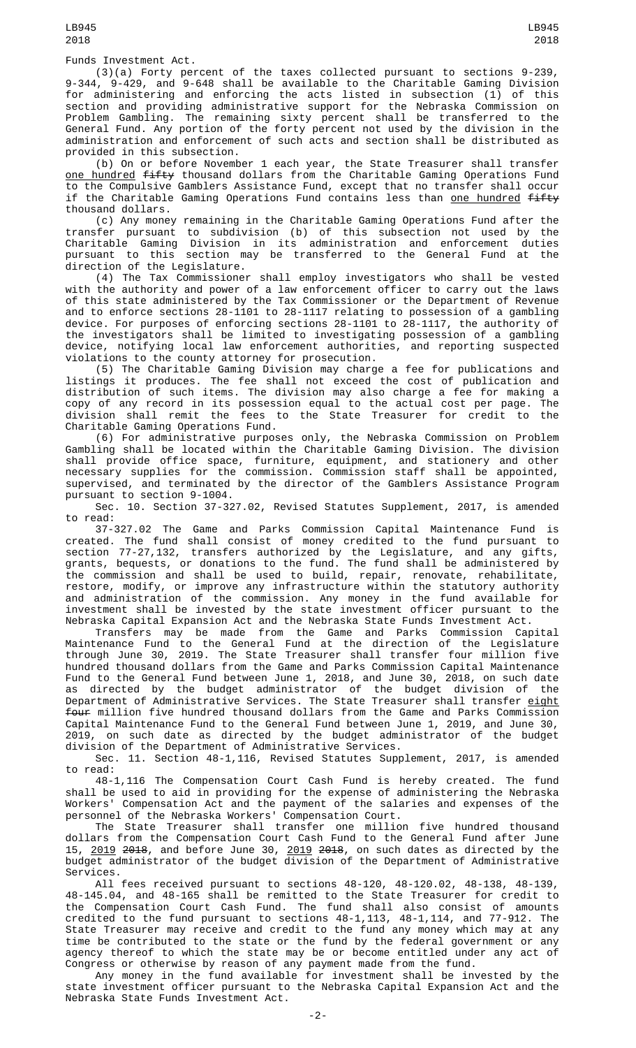Funds Investment Act.

(3)(a) Forty percent of the taxes collected pursuant to sections 9-239, 9-344, 9-429, and 9-648 shall be available to the Charitable Gaming Division for administering and enforcing the acts listed in subsection (1) of this section and providing administrative support for the Nebraska Commission on Problem Gambling. The remaining sixty percent shall be transferred to the General Fund. Any portion of the forty percent not used by the division in the administration and enforcement of such acts and section shall be distributed as provided in this subsection.

(b) On or before November 1 each year, the State Treasurer shall transfer <u>one hundred</u> <del>fifty</del> thousand dollars from the Charitable Gaming Operations Fund to the Compulsive Gamblers Assistance Fund, except that no transfer shall occur if the Charitable Gaming Operations Fund contains less than one hundred fifty thousand dollars.

(c) Any money remaining in the Charitable Gaming Operations Fund after the transfer pursuant to subdivision (b) of this subsection not used by the Charitable Gaming Division in its administration and enforcement duties pursuant to this section may be transferred to the General Fund at the direction of the Legislature.

(4) The Tax Commissioner shall employ investigators who shall be vested with the authority and power of a law enforcement officer to carry out the laws of this state administered by the Tax Commissioner or the Department of Revenue and to enforce sections 28-1101 to 28-1117 relating to possession of a gambling device. For purposes of enforcing sections 28-1101 to 28-1117, the authority of the investigators shall be limited to investigating possession of a gambling device, notifying local law enforcement authorities, and reporting suspected violations to the county attorney for prosecution.

(5) The Charitable Gaming Division may charge a fee for publications and listings it produces. The fee shall not exceed the cost of publication and distribution of such items. The division may also charge a fee for making a copy of any record in its possession equal to the actual cost per page. The division shall remit the fees to the State Treasurer for credit to the Charitable Gaming Operations Fund.

(6) For administrative purposes only, the Nebraska Commission on Problem Gambling shall be located within the Charitable Gaming Division. The division shall provide office space, furniture, equipment, and stationery and other necessary supplies for the commission. Commission staff shall be appointed, supervised, and terminated by the director of the Gamblers Assistance Program pursuant to section 9-1004.

Sec. 10. Section 37-327.02, Revised Statutes Supplement, 2017, is amended to read:

37-327.02 The Game and Parks Commission Capital Maintenance Fund is created. The fund shall consist of money credited to the fund pursuant to section 77-27,132, transfers authorized by the Legislature, and any gifts, grants, bequests, or donations to the fund. The fund shall be administered by the commission and shall be used to build, repair, renovate, rehabilitate, restore, modify, or improve any infrastructure within the statutory authority and administration of the commission. Any money in the fund available for investment shall be invested by the state investment officer pursuant to the Nebraska Capital Expansion Act and the Nebraska State Funds Investment Act.

Transfers may be made from the Game and Parks Commission Capital Maintenance Fund to the General Fund at the direction of the Legislature through June 30, 2019. The State Treasurer shall transfer four million five hundred thousand dollars from the Game and Parks Commission Capital Maintenance Fund to the General Fund between June 1, 2018, and June 30, 2018, on such date as directed by the budget administrator of the budget division of the Department of Administrative Services. The State Treasurer shall transfer <u>eight</u> four million five hundred thousand dollars from the Game and Parks Commission Capital Maintenance Fund to the General Fund between June 1, 2019, and June 30, 2019, on such date as directed by the budget administrator of the budget division of the Department of Administrative Services.

Sec. 11. Section 48-1,116, Revised Statutes Supplement, 2017, is amended to read:

48-1,116 The Compensation Court Cash Fund is hereby created. The fund shall be used to aid in providing for the expense of administering the Nebraska Workers' Compensation Act and the payment of the salaries and expenses of the personnel of the Nebraska Workers' Compensation Court.

The State Treasurer shall transfer one million five hundred thousand dollars from the Compensation Court Cash Fund to the General Fund after June 15, <u>2019</u> <del>2018</del>, and before June 30, <u>2019</u> <del>2018</del>, on such dates as directed by the budget administrator of the budget division of the Department of Administrative Services.

All fees received pursuant to sections 48-120, 48-120.02, 48-138, 48-139, 48-145.04, and 48-165 shall be remitted to the State Treasurer for credit to the Compensation Court Cash Fund. The fund shall also consist of amounts credited to the fund pursuant to sections 48-1,113, 48-1,114, and 77-912. The State Treasurer may receive and credit to the fund any money which may at any time be contributed to the state or the fund by the federal government or any agency thereof to which the state may be or become entitled under any act of Congress or otherwise by reason of any payment made from the fund.

Any money in the fund available for investment shall be invested by the state investment officer pursuant to the Nebraska Capital Expansion Act and the Nebraska State Funds Investment Act.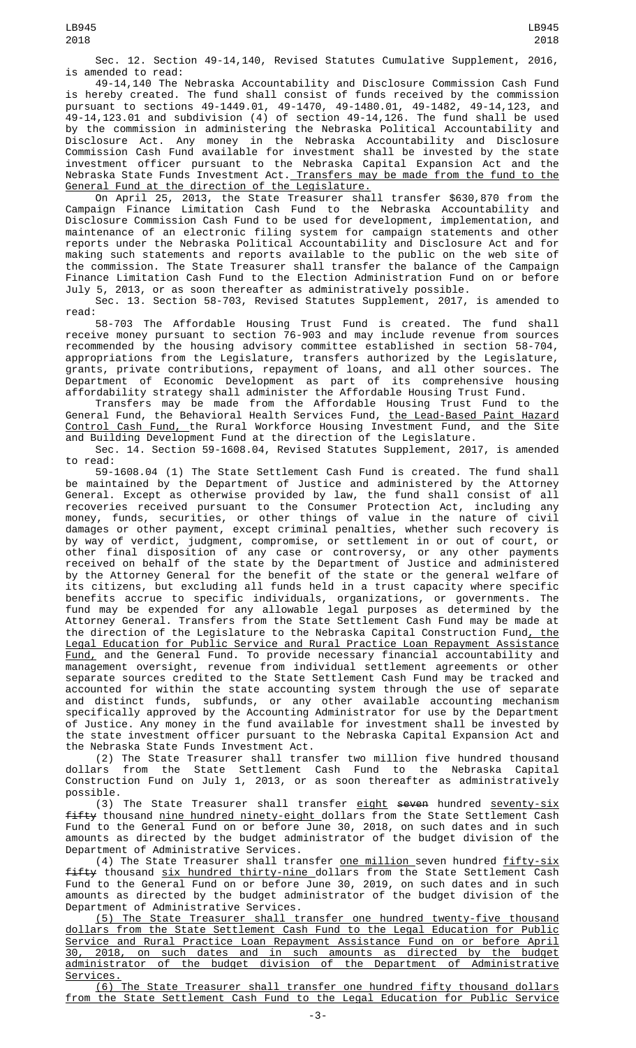Sec. 12. Section 49-14,140, Revised Statutes Cumulative Supplement, 2016, is amended to read:

49-14,140 The Nebraska Accountability and Disclosure Commission Cash Fund is hereby created. The fund shall consist of funds received by the commission pursuant to sections 49-1449.01, 49-1470, 49-1480.01, 49-1482, 49-14,123, and 49-14,123.01 and subdivision (4) of section 49-14,126. The fund shall be used by the commission in administering the Nebraska Political Accountability and Disclosure Act. Any money in the Nebraska Accountability and Disclosure Commission Cash Fund available for investment shall be invested by the state investment officer pursuant to the Nebraska Capital Expansion Act and the Nebraska State Funds Investment Act.<u> Transfers may be made from the fund to the</u> General Fund at the direction of the Legislature.

On April 25, 2013, the State Treasurer shall transfer \$630,870 from the Campaign Finance Limitation Cash Fund to the Nebraska Accountability and Disclosure Commission Cash Fund to be used for development, implementation, and maintenance of an electronic filing system for campaign statements and other reports under the Nebraska Political Accountability and Disclosure Act and for making such statements and reports available to the public on the web site of the commission. The State Treasurer shall transfer the balance of the Campaign Finance Limitation Cash Fund to the Election Administration Fund on or before July 5, 2013, or as soon thereafter as administratively possible.

Sec. 13. Section 58-703, Revised Statutes Supplement, 2017, is amended to read:

58-703 The Affordable Housing Trust Fund is created. The fund shall receive money pursuant to section 76-903 and may include revenue from sources recommended by the housing advisory committee established in section 58-704, appropriations from the Legislature, transfers authorized by the Legislature, grants, private contributions, repayment of loans, and all other sources. The Department of Economic Development as part of its comprehensive housing affordability strategy shall administer the Affordable Housing Trust Fund.

Transfers may be made from the Affordable Housing Trust Fund to the General Fund, the Behavioral Health Services Fund, <u>the Lead-Based Paint Hazard</u> <u>Control Cash Fund, t</u>he Rural Workforce Housing Investment Fund, and the Site and Building Development Fund at the direction of the Legislature.

Sec. 14. Section 59-1608.04, Revised Statutes Supplement, 2017, is amended to read:

59-1608.04 (1) The State Settlement Cash Fund is created. The fund shall be maintained by the Department of Justice and administered by the Attorney General. Except as otherwise provided by law, the fund shall consist of all recoveries received pursuant to the Consumer Protection Act, including any money, funds, securities, or other things of value in the nature of civil damages or other payment, except criminal penalties, whether such recovery is by way of verdict, judgment, compromise, or settlement in or out of court, or other final disposition of any case or controversy, or any other payments received on behalf of the state by the Department of Justice and administered by the Attorney General for the benefit of the state or the general welfare of its citizens, but excluding all funds held in a trust capacity where specific benefits accrue to specific individuals, organizations, or governments. The fund may be expended for any allowable legal purposes as determined by the Attorney General. Transfers from the State Settlement Cash Fund may be made at the direction of the Legislature to the Nebraska Capital Construction Fund, the Legal Education for Public Service and Rural Practice Loan Repayment Assistance Fund, and the General Fund. To provide necessary financial accountability and management oversight, revenue from individual settlement agreements or other separate sources credited to the State Settlement Cash Fund may be tracked and accounted for within the state accounting system through the use of separate and distinct funds, subfunds, or any other available accounting mechanism specifically approved by the Accounting Administrator for use by the Department of Justice. Any money in the fund available for investment shall be invested by the state investment officer pursuant to the Nebraska Capital Expansion Act and the Nebraska State Funds Investment Act.

(2) The State Treasurer shall transfer two million five hundred thousand dollars from the State Settlement Cash Fund to the Nebraska Capital Construction Fund on July 1, 2013, or as soon thereafter as administratively possible.

(3) The State Treasurer shall transfer eight seven hundred seventy-six fifty thousand nine hundred ninety-eight dollars from the State Settlement Cash Fund to the General Fund on or before June 30, 2018, on such dates and in such amounts as directed by the budget administrator of the budget division of the Department of Administrative Services.

(4) The State Treasurer shall transfer <u>one million s</u>even hundred <u>fifty-six</u> fifty thousand six hundred thirty-nine dollars from the State Settlement Cash Fund to the General Fund on or before June 30, 2019, on such dates and in such amounts as directed by the budget administrator of the budget division of the Department of Administrative Services.

(5) The State Treasurer shall transfer one hundred twenty-five thousand dollars from the State Settlement Cash Fund to the Legal Education for Public Service and Rural Practice Loan Repayment Assistance Fund on or before April 30, 2018, on such dates and in such amounts as directed by the budget of the budget division of the Department of Services.

(6) The State Treasurer shall transfer one hundred fifty thousand dollars from the State Settlement Cash Fund to the Legal Education for Public Service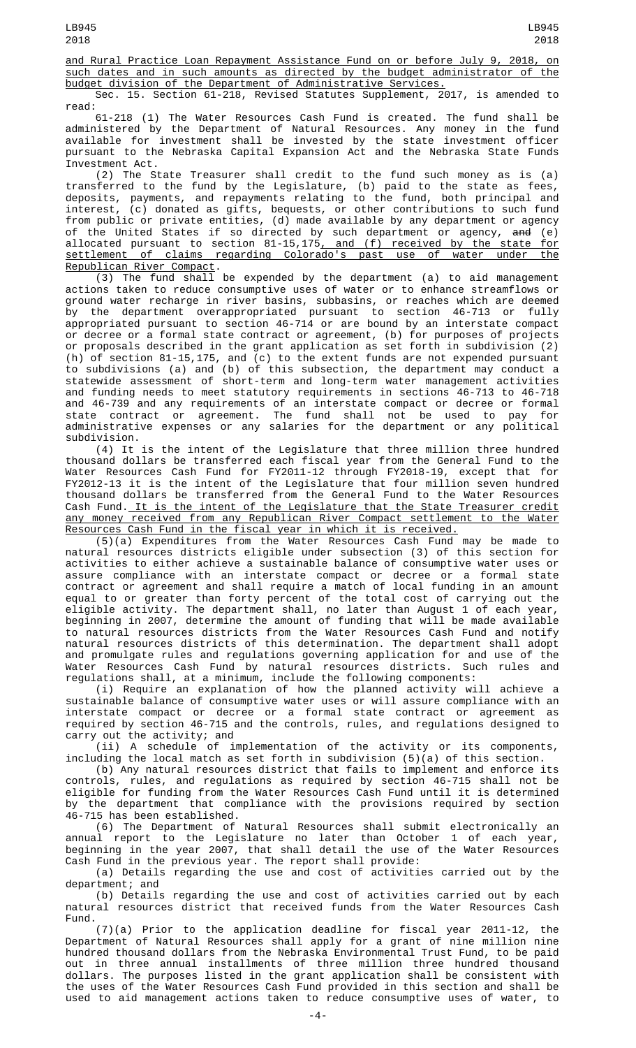and Rural Practice Loan Repayment Assistance Fund on or before July 9, 2018, on such dates and in such amounts as directed by the budget administrator of the budget division of the Department of Administrative Services.

Sec. 15. Section 61-218, Revised Statutes Supplement, 2017, is amended to read:

61-218 (1) The Water Resources Cash Fund is created. The fund shall be administered by the Department of Natural Resources. Any money in the fund available for investment shall be invested by the state investment officer pursuant to the Nebraska Capital Expansion Act and the Nebraska State Funds Investment Act.

(2) The State Treasurer shall credit to the fund such money as is (a) transferred to the fund by the Legislature, (b) paid to the state as fees, deposits, payments, and repayments relating to the fund, both principal and interest, (c) donated as gifts, bequests, or other contributions to such fund from public or private entities, (d) made available by any department or agency of the United States if so directed by such department or agency, <del>and</del> (e) allocated pursuant to section 81-15,175<u>, and (f) received by the state for</u> settlement of claims regarding Colorado's past use of water under the Republican River Compact.

(3) The fund shall be expended by the department (a) to aid management actions taken to reduce consumptive uses of water or to enhance streamflows or ground water recharge in river basins, subbasins, or reaches which are deemed by the department overappropriated pursuant to section 46-713 or fully appropriated pursuant to section 46-714 or are bound by an interstate compact or decree or a formal state contract or agreement, (b) for purposes of projects or proposals described in the grant application as set forth in subdivision (2) (h) of section 81-15,175, and (c) to the extent funds are not expended pursuant to subdivisions (a) and (b) of this subsection, the department may conduct a statewide assessment of short-term and long-term water management activities and funding needs to meet statutory requirements in sections 46-713 to 46-718 and 46-739 and any requirements of an interstate compact or decree or formal state contract or agreement. The fund shall not be used to pay for administrative expenses or any salaries for the department or any political subdivision.

(4) It is the intent of the Legislature that three million three hundred thousand dollars be transferred each fiscal year from the General Fund to the Water Resources Cash Fund for FY2011-12 through FY2018-19, except that for FY2012-13 it is the intent of the Legislature that four million seven hundred thousand dollars be transferred from the General Fund to the Water Resources Cash Fund. It is the intent of the Legislature that the State Treasurer credit any money received from any Republican River Compact settlement to the Water Resources Cash Fund in the fiscal year in which it is received.

(5)(a) Expenditures from the Water Resources Cash Fund may be made to natural resources districts eligible under subsection (3) of this section for activities to either achieve a sustainable balance of consumptive water uses or assure compliance with an interstate compact or decree or a formal state contract or agreement and shall require a match of local funding in an amount equal to or greater than forty percent of the total cost of carrying out the eligible activity. The department shall, no later than August 1 of each year, beginning in 2007, determine the amount of funding that will be made available to natural resources districts from the Water Resources Cash Fund and notify natural resources districts of this determination. The department shall adopt and promulgate rules and regulations governing application for and use of the Water Resources Cash Fund by natural resources districts. Such rules and regulations shall, at a minimum, include the following components:

(i) Require an explanation of how the planned activity will achieve a sustainable balance of consumptive water uses or will assure compliance with an interstate compact or decree or a formal state contract or agreement as required by section 46-715 and the controls, rules, and regulations designed to carry out the activity; and

(ii) A schedule of implementation of the activity or its components, including the local match as set forth in subdivision (5)(a) of this section.

(b) Any natural resources district that fails to implement and enforce its controls, rules, and regulations as required by section 46-715 shall not be eligible for funding from the Water Resources Cash Fund until it is determined by the department that compliance with the provisions required by section 46-715 has been established.

(6) The Department of Natural Resources shall submit electronically an annual report to the Legislature no later than October 1 of each year, beginning in the year 2007, that shall detail the use of the Water Resources Cash Fund in the previous year. The report shall provide:

(a) Details regarding the use and cost of activities carried out by the department; and

(b) Details regarding the use and cost of activities carried out by each natural resources district that received funds from the Water Resources Cash Fund.

(7)(a) Prior to the application deadline for fiscal year 2011-12, the Department of Natural Resources shall apply for a grant of nine million nine hundred thousand dollars from the Nebraska Environmental Trust Fund, to be paid out in three annual installments of three million three hundred thousand dollars. The purposes listed in the grant application shall be consistent with the uses of the Water Resources Cash Fund provided in this section and shall be used to aid management actions taken to reduce consumptive uses of water, to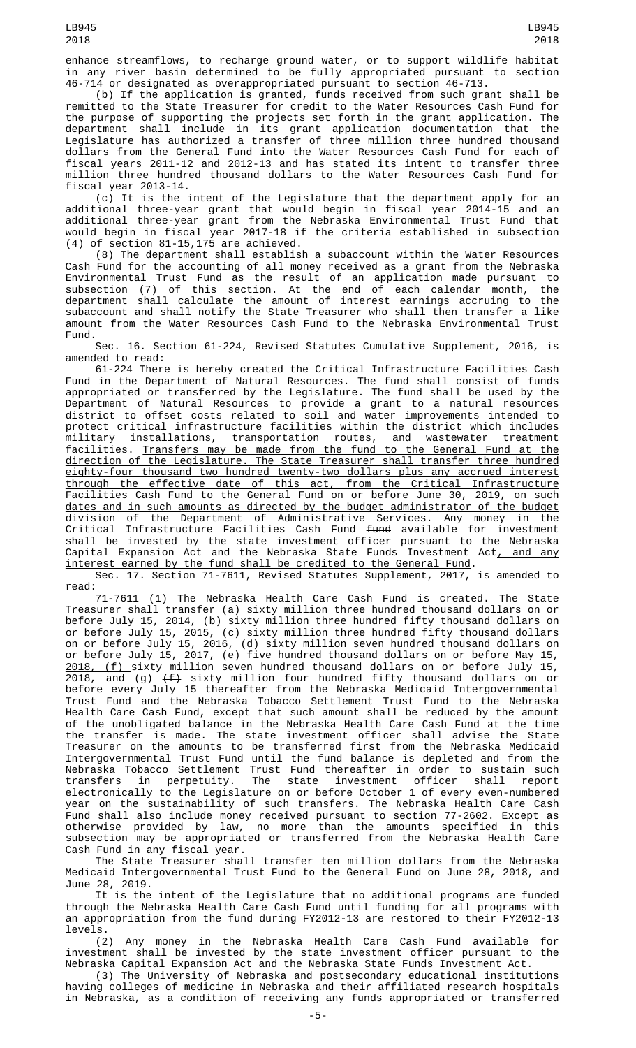enhance streamflows, to recharge ground water, or to support wildlife habitat in any river basin determined to be fully appropriated pursuant to section 46-714 or designated as overappropriated pursuant to section 46-713.

(b) If the application is granted, funds received from such grant shall be remitted to the State Treasurer for credit to the Water Resources Cash Fund for the purpose of supporting the projects set forth in the grant application. The department shall include in its grant application documentation that the Legislature has authorized a transfer of three million three hundred thousand dollars from the General Fund into the Water Resources Cash Fund for each of fiscal years 2011-12 and 2012-13 and has stated its intent to transfer three million three hundred thousand dollars to the Water Resources Cash Fund for fiscal year 2013-14.

(c) It is the intent of the Legislature that the department apply for an additional three-year grant that would begin in fiscal year 2014-15 and an additional three-year grant from the Nebraska Environmental Trust Fund that would begin in fiscal year 2017-18 if the criteria established in subsection (4) of section 81-15,175 are achieved.

(8) The department shall establish a subaccount within the Water Resources Cash Fund for the accounting of all money received as a grant from the Nebraska Environmental Trust Fund as the result of an application made pursuant to subsection (7) of this section. At the end of each calendar month, the department shall calculate the amount of interest earnings accruing to the subaccount and shall notify the State Treasurer who shall then transfer a like amount from the Water Resources Cash Fund to the Nebraska Environmental Trust Fund.

Sec. 16. Section 61-224, Revised Statutes Cumulative Supplement, 2016, is amended to read:

61-224 There is hereby created the Critical Infrastructure Facilities Cash Fund in the Department of Natural Resources. The fund shall consist of funds appropriated or transferred by the Legislature. The fund shall be used by the Department of Natural Resources to provide a grant to a natural resources district to offset costs related to soil and water improvements intended to protect critical infrastructure facilities within the district which includes military installations, transportation routes, and wastewater treatment facilities. Transfers may be made from the fund to the General Fund at the direction of the Legislature. The State Treasurer shall transfer three hundred eighty-four thousand two hundred twenty-two dollars plus any accrued interest through the effective date of this act, from the Critical Infrastructure Facilities Cash Fund to the General Fund on or before June 30, 2019, on such dates and in such amounts as directed by the budget administrator of the budget division of the Department of Administrative Services. Any money in the Critical Infrastructure Facilities Cash Fund fund available for investment shall be invested by the state investment officer pursuant to the Nebraska Capital Expansion Act and the Nebraska State Funds Investment Act<u>, and any</u> interest earned by the fund shall be credited to the General Fund.

Sec. 17. Section 71-7611, Revised Statutes Supplement, 2017, is amended to read:<br>71-7611 (1) The Nebraska Health Care Cash Fund is created. The State

71-7611 (1) The Nebraska Health Care Cash Fund is created. The State Treasurer shall transfer (a) sixty million three hundred thousand dollars on or before July 15, 2014, (b) sixty million three hundred fifty thousand dollars on or before July 15, 2015, (c) sixty million three hundred fifty thousand dollars on or before July 15, 2016, (d) sixty million seven hundred thousand dollars on or before July 15, 2017, (e) <u>five hundred thousand dollars on or before May 15,</u> 2018, (f) sixty million seven hundred thousand dollars on or before July 15, 2018, and <u>(g)</u> <del>(f)</del> sixty million four hundred fifty thousand dollars on or before every July 15 thereafter from the Nebraska Medicaid Intergovernmental Trust Fund and the Nebraska Tobacco Settlement Trust Fund to the Nebraska Health Care Cash Fund, except that such amount shall be reduced by the amount of the unobligated balance in the Nebraska Health Care Cash Fund at the time the transfer is made. The state investment officer shall advise the State Treasurer on the amounts to be transferred first from the Nebraska Medicaid Intergovernmental Trust Fund until the fund balance is depleted and from the Nebraska Tobacco Settlement Trust Fund thereafter in order to sustain such transfers in perpetuity. The state investment officer shall report electronically to the Legislature on or before October 1 of every even-numbered year on the sustainability of such transfers. The Nebraska Health Care Cash Fund shall also include money received pursuant to section 77-2602. Except as otherwise provided by law, no more than the amounts specified in this subsection may be appropriated or transferred from the Nebraska Health Care Cash Fund in any fiscal year.

The State Treasurer shall transfer ten million dollars from the Nebraska Medicaid Intergovernmental Trust Fund to the General Fund on June 28, 2018, and June 28, 2019.

It is the intent of the Legislature that no additional programs are funded through the Nebraska Health Care Cash Fund until funding for all programs with an appropriation from the fund during FY2012-13 are restored to their FY2012-13 levels.

(2) Any money in the Nebraska Health Care Cash Fund available for investment shall be invested by the state investment officer pursuant to the Nebraska Capital Expansion Act and the Nebraska State Funds Investment Act.

(3) The University of Nebraska and postsecondary educational institutions having colleges of medicine in Nebraska and their affiliated research hospitals in Nebraska, as a condition of receiving any funds appropriated or transferred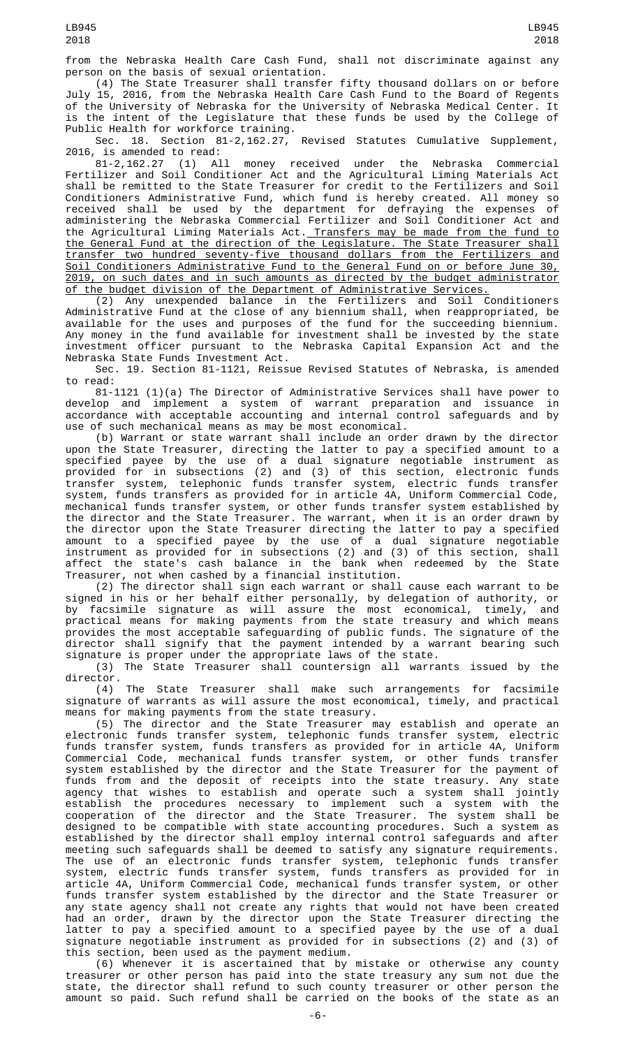(4) The State Treasurer shall transfer fifty thousand dollars on or before July 15, 2016, from the Nebraska Health Care Cash Fund to the Board of Regents of the University of Nebraska for the University of Nebraska Medical Center. It is the intent of the Legislature that these funds be used by the College of Public Health for workforce training.

Sec. 18. Section 81-2,162.27, Revised Statutes Cumulative Supplement,

2016, is amended to read: money received under the Nebraska Commercial Fertilizer and Soil Conditioner Act and the Agricultural Liming Materials Act shall be remitted to the State Treasurer for credit to the Fertilizers and Soil Conditioners Administrative Fund, which fund is hereby created. All money so received shall be used by the department for defraying the expenses of administering the Nebraska Commercial Fertilizer and Soil Conditioner Act and the Agricultural Liming Materials Act. Transfers may be made from the fund to the General Fund at the direction of the Legislature. The State Treasurer shall transfer two hundred seventy-five thousand dollars from the Fertilizers and Soil Conditioners Administrative Fund to the General Fund on or before June 30, 2019, on such dates and in such amounts as directed by the budget administrator of the budget division of the Department of Administrative Services.

(2) Any unexpended balance in the Fertilizers and Soil Conditioners Administrative Fund at the close of any biennium shall, when reappropriated, be available for the uses and purposes of the fund for the succeeding biennium. Any money in the fund available for investment shall be invested by the state investment officer pursuant to the Nebraska Capital Expansion Act and the Nebraska State Funds Investment Act.

Sec. 19. Section 81-1121, Reissue Revised Statutes of Nebraska, is amended to read:

81-1121 (1)(a) The Director of Administrative Services shall have power to develop and implement a system of warrant preparation and issuance in accordance with acceptable accounting and internal control safeguards and by use of such mechanical means as may be most economical.

(b) Warrant or state warrant shall include an order drawn by the director upon the State Treasurer, directing the latter to pay a specified amount to a specified payee by the use of a dual signature negotiable instrument as provided for in subsections (2) and (3) of this section, electronic funds transfer system, telephonic funds transfer system, electric funds transfer system, funds transfers as provided for in article 4A, Uniform Commercial Code, mechanical funds transfer system, or other funds transfer system established by the director and the State Treasurer. The warrant, when it is an order drawn by the director upon the State Treasurer directing the latter to pay a specified amount to a specified payee by the use of a dual signature negotiable instrument as provided for in subsections (2) and (3) of this section, shall affect the state's cash balance in the bank when redeemed by the State Treasurer, not when cashed by a financial institution.

(2) The director shall sign each warrant or shall cause each warrant to be signed in his or her behalf either personally, by delegation of authority, or by facsimile signature as will assure the most economical, timely, and practical means for making payments from the state treasury and which means provides the most acceptable safeguarding of public funds. The signature of the director shall signify that the payment intended by a warrant bearing such signature is proper under the appropriate laws of the state.

(3) The State Treasurer shall countersign all warrants issued by the director.

(4) The State Treasurer shall make such arrangements for facsimile signature of warrants as will assure the most economical, timely, and practical means for making payments from the state treasury.

(5) The director and the State Treasurer may establish and operate an electronic funds transfer system, telephonic funds transfer system, electric funds transfer system, funds transfers as provided for in article 4A, Uniform Commercial Code, mechanical funds transfer system, or other funds transfer system established by the director and the State Treasurer for the payment of funds from and the deposit of receipts into the state treasury. Any state agency that wishes to establish and operate such a system shall jointly establish the procedures necessary to implement such a system with the cooperation of the director and the State Treasurer. The system shall be designed to be compatible with state accounting procedures. Such a system as established by the director shall employ internal control safeguards and after meeting such safeguards shall be deemed to satisfy any signature requirements. The use of an electronic funds transfer system, telephonic funds transfer system, electric funds transfer system, funds transfers as provided for in article 4A, Uniform Commercial Code, mechanical funds transfer system, or other funds transfer system established by the director and the State Treasurer or any state agency shall not create any rights that would not have been created had an order, drawn by the director upon the State Treasurer directing the latter to pay a specified amount to a specified payee by the use of a dual signature negotiable instrument as provided for in subsections (2) and (3) of this section, been used as the payment medium.

(6) Whenever it is ascertained that by mistake or otherwise any county treasurer or other person has paid into the state treasury any sum not due the state, the director shall refund to such county treasurer or other person the amount so paid. Such refund shall be carried on the books of the state as an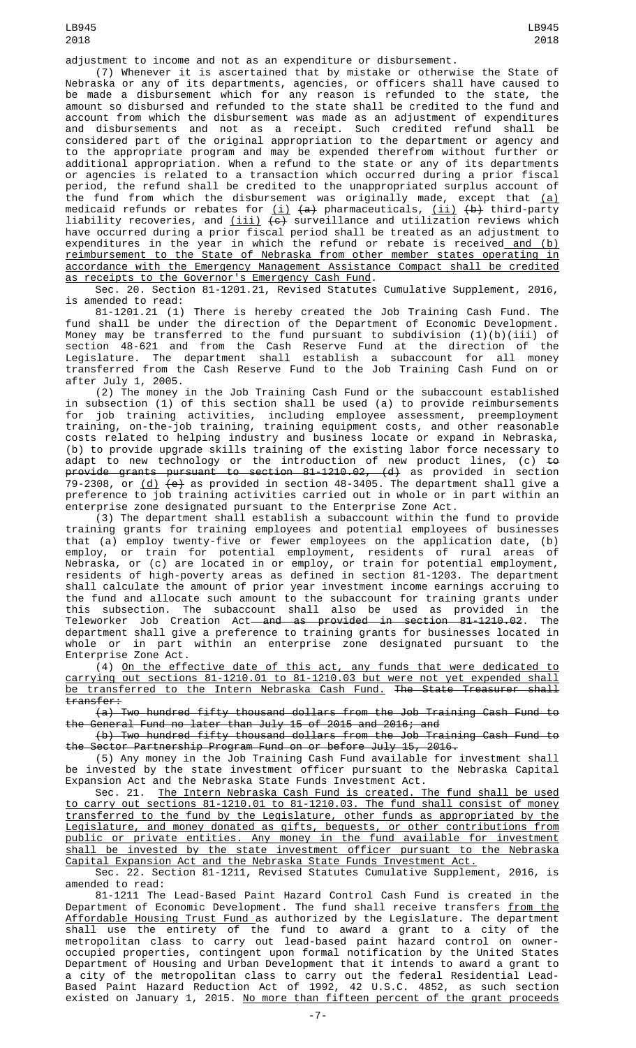adjustment to income and not as an expenditure or disbursement.

(7) Whenever it is ascertained that by mistake or otherwise the State of Nebraska or any of its departments, agencies, or officers shall have caused to be made a disbursement which for any reason is refunded to the state, the amount so disbursed and refunded to the state shall be credited to the fund and account from which the disbursement was made as an adjustment of expenditures and disbursements and not as a receipt. Such credited refund shall be considered part of the original appropriation to the department or agency and to the appropriate program and may be expended therefrom without further or additional appropriation. When a refund to the state or any of its departments or agencies is related to a transaction which occurred during a prior fiscal period, the refund shall be credited to the unappropriated surplus account of the fund from which the disbursement was originally made, except that (a) medicaid refunds or rebates for <u>(i)</u> <del>(a)</del> pharmaceuticals, <u>(ii)</u> <del>(b)</del> third-party liability recoveries, and <u>(iii)</u> <del>(c)</del> surveillance and utilization reviews which have occurred during a prior fiscal period shall be treated as an adjustment to expenditures in the year in which the refund or rebate is received<u> and (b)</u> reimbursement to the State of Nebraska from other member states operating in accordance with the Emergency Management Assistance Compact shall be credited as receipts to the Governor's Emergency Cash Fund.

Sec. 20. Section 81-1201.21, Revised Statutes Cumulative Supplement, 2016, is amended to read:

81-1201.21 (1) There is hereby created the Job Training Cash Fund. The fund shall be under the direction of the Department of Economic Development. Money may be transferred to the fund pursuant to subdivision  $(1)(b)(iii)$  of section 48-621 and from the Cash Reserve Fund at the direction of the Legislature. The department shall establish a subaccount for all money transferred from the Cash Reserve Fund to the Job Training Cash Fund on or after July 1, 2005.

(2) The money in the Job Training Cash Fund or the subaccount established in subsection (1) of this section shall be used (a) to provide reimbursements for job training activities, including employee assessment, preemployment training, on-the-job training, training equipment costs, and other reasonable costs related to helping industry and business locate or expand in Nebraska, costs related to helping industry and pusiness is the series.<br>(b) to provide upgrade skills training of the existing labor force necessary to<br> $\frac{1}{2}$ adapt to new technology or the introduction of new product lines, (c) <del>to</del> provide grants pursuant to section 81-1210.02, (d) as provided in section 79-2308, or <u>(d)</u> <del>(e)</del> as provided in section 48-3405. The department shall give a preference to job training activities carried out in whole or in part within an enterprise zone designated pursuant to the Enterprise Zone Act.

(3) The department shall establish a subaccount within the fund to provide training grants for training employees and potential employees of businesses that (a) employ twenty-five or fewer employees on the application date, (b) employ, or train for potential employment, residents of rural areas of Nebraska, or (c) are located in or employ, or train for potential employment, residents of high-poverty areas as defined in section 81-1203. The department shall calculate the amount of prior year investment income earnings accruing to the fund and allocate such amount to the subaccount for training grants under this subsection. The subaccount shall also be used as provided in the Teleworker Job Creation Act<del> and as provided in section 81-1210.02</del>. The department shall give a preference to training grants for businesses located in whole or in part within an enterprise zone designated pursuant to the Enterprise Zone Act.

(4) On the effective date of this act, any funds that were dedicated to carrying out sections 81-1210.01 to 81-1210.03 but were not yet expended shall be transferred to the Intern Nebraska Cash Fund. The State Treasurer shall transfer:

(a) Two hundred fifty thousand dollars from the Job Training Cash Fund to the General Fund no later than July 15 of 2015 and 2016; and

(b) Two hundred fifty thousand dollars from the Job Training Cash Fund to the Sector Partnership Program Fund on or before July 15, 2016.

(5) Any money in the Job Training Cash Fund available for investment shall be invested by the state investment officer pursuant to the Nebraska Capital Expansion Act and the Nebraska State Funds Investment Act.

Sec. 21. The Intern Nebraska Cash Fund is created. The fund shall be used to carry out sections 81-1210.01 to 81-1210.03. The fund shall consist of money transferred to the fund by the Legislature, other funds as appropriated by the Legislature, and money donated as gifts, bequests, or other contributions from public or private entities. Any money in the fund available for investment shall be invested by the state investment officer pursuant to the Nebraska Capital Expansion Act and the Nebraska State Funds Investment Act.

Sec. 22. Section 81-1211, Revised Statutes Cumulative Supplement, 2016, is amended to read:

81-1211 The Lead-Based Paint Hazard Control Cash Fund is created in the Department of Economic Development. The fund shall receive transfers <u>from the</u> Affordable Housing Trust Fund as authorized by the Legislature. The department shall use the entirety of the fund to award a grant to a city of the metropolitan class to carry out lead-based paint hazard control on owneroccupied properties, contingent upon formal notification by the United States Department of Housing and Urban Development that it intends to award a grant to a city of the metropolitan class to carry out the federal Residential Lead-Based Paint Hazard Reduction Act of 1992, 42 U.S.C. 4852, as such section existed on January 1, 2015. No more than fifteen percent of the grant proceeds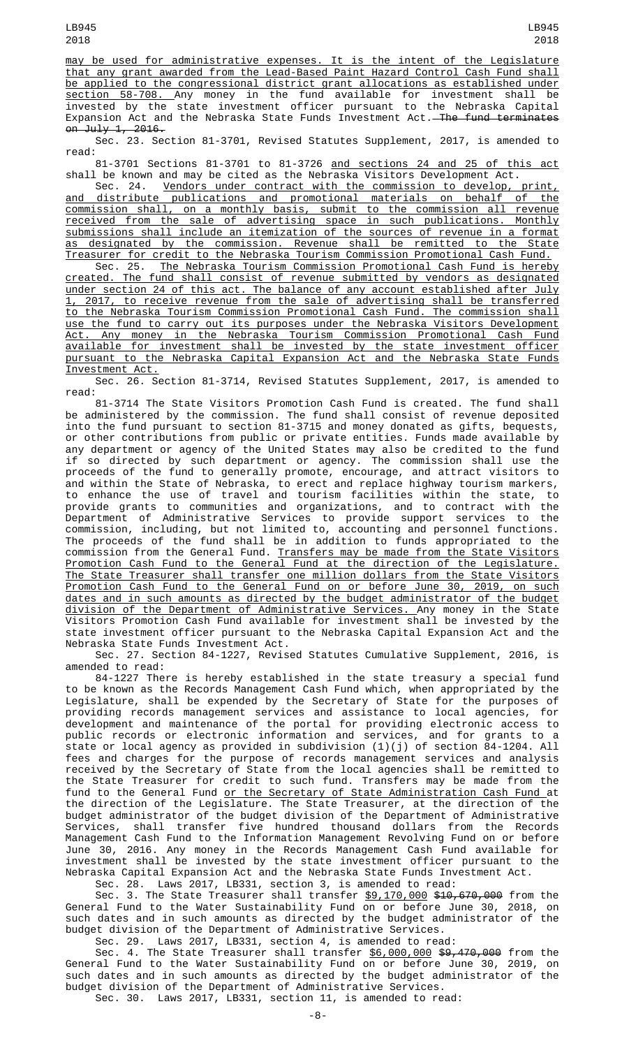may be used for administrative expenses. It is the intent of the Legislature that any grant awarded from the Lead-Based Paint Hazard Control Cash Fund shall be applied to the congressional district grant allocations as established under section 58-708. Any money in the fund available for investment shall be invested by the state investment officer pursuant to the Nebraska Capital Expansion Act and the Nebraska State Funds Investment Act.<del>—The fund terminates</del> on July 1, 2016.

Sec. 23. Section 81-3701, Revised Statutes Supplement, 2017, is amended to read:

81-3701 Sections 81-3701 to 81-3726 and sections 24 and 25 of this act shall be known and may be cited as the Nebraska Visitors Development Act.

Sec. 24. Vendors under contract with the commission to develop, print, and distribute publications and promotional materials on behalf of the commission shall, on a monthly basis, submit to the commission all revenue received from the sale of advertising space in such publications. Monthly submissions shall include an itemization of the sources of revenue in a format as designated by the commission. Revenue shall be remitted to the State Treasurer for credit to the Nebraska Tourism Commission Promotional Cash Fund.

Sec. 25. The Nebraska Tourism Commission Promotional Cash Fund is hereby created. The fund shall consist of revenue submitted by vendors as designated under section 24 of this act. The balance of any account established after July 1, 2017, to receive revenue from the sale of advertising shall be transferred to the Nebraska Tourism Commission Promotional Cash Fund. The commission shall use the fund to carry out its purposes under the Nebraska Visitors Development Act. Any money in the Nebraska Tourism Commission Promotional Cash Fund available for investment shall be invested by the state investment officer pursuant to the Nebraska Capital Expansion Act and the Nebraska State Funds Investment Act.

Sec. 26. Section 81-3714, Revised Statutes Supplement, 2017, is amended to read:

81-3714 The State Visitors Promotion Cash Fund is created. The fund shall be administered by the commission. The fund shall consist of revenue deposited into the fund pursuant to section 81-3715 and money donated as gifts, bequests, or other contributions from public or private entities. Funds made available by any department or agency of the United States may also be credited to the fund if so directed by such department or agency. The commission shall use the proceeds of the fund to generally promote, encourage, and attract visitors to and within the State of Nebraska, to erect and replace highway tourism markers, to enhance the use of travel and tourism facilities within the state, to provide grants to communities and organizations, and to contract with the Department of Administrative Services to provide support services to the commission, including, but not limited to, accounting and personnel functions. The proceeds of the fund shall be in addition to funds appropriated to the commission from the General Fund. Transfers may be made from the State Visitors Promotion Cash Fund to the General Fund at the direction of the Legislature. The State Treasurer shall transfer one million dollars from the State Visitors Promotion Cash Fund to the General Fund on or before June 30, 2019, on such dates and in such amounts as directed by the budget administrator of the budget division of the Department of Administrative Services. Any money in the State Visitors Promotion Cash Fund available for investment shall be invested by the state investment officer pursuant to the Nebraska Capital Expansion Act and the Nebraska State Funds Investment Act.

Sec. 27. Section 84-1227, Revised Statutes Cumulative Supplement, 2016, is amended to read:

84-1227 There is hereby established in the state treasury a special fund to be known as the Records Management Cash Fund which, when appropriated by the Legislature, shall be expended by the Secretary of State for the purposes of providing records management services and assistance to local agencies, for development and maintenance of the portal for providing electronic access to public records or electronic information and services, and for grants to a state or local agency as provided in subdivision (1)(j) of section 84-1204. All fees and charges for the purpose of records management services and analysis received by the Secretary of State from the local agencies shall be remitted to the State Treasurer for credit to such fund. Transfers may be made from the fund to the General Fund <u>or the Secretary of State Administration Cash Fund a</u>t the direction of the Legislature. The State Treasurer, at the direction of the budget administrator of the budget division of the Department of Administrative Services, shall transfer five hundred thousand dollars from the Records Management Cash Fund to the Information Management Revolving Fund on or before June 30, 2016. Any money in the Records Management Cash Fund available for investment shall be invested by the state investment officer pursuant to the Nebraska Capital Expansion Act and the Nebraska State Funds Investment Act.

Sec. 28. Laws 2017, LB331, section 3, is amended to read:

Sec. 3. The State Treasurer shall transfer <u>\$9,170,000</u> <del>\$10,670,000</del> from the General Fund to the Water Sustainability Fund on or before June 30, 2018, on such dates and in such amounts as directed by the budget administrator of the budget division of the Department of Administrative Services.

Sec. 29. Laws 2017, LB331, section 4, is amended to read: Sec. 4. The State Treasurer shall transfer <u>\$6,000,000</u> \$9,470,000 from the General Fund to the Water Sustainability Fund on or before June 30, 2019, on such dates and in such amounts as directed by the budget administrator of the budget division of the Department of Administrative Services.

Sec. 30. Laws 2017, LB331, section 11, is amended to read: